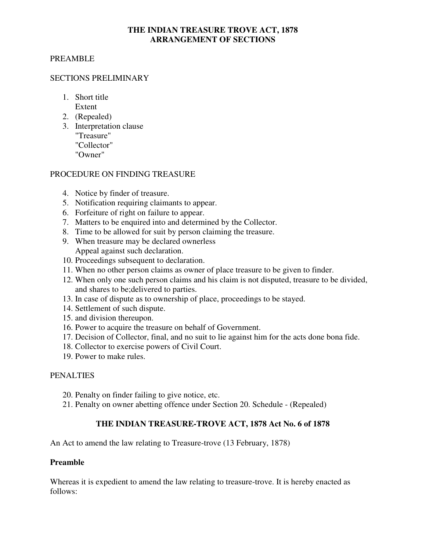#### **THE INDIAN TREASURE TROVE ACT, 1878 ARRANGEMENT OF SECTIONS**

## PREAMBLE

#### SECTIONS PRELIMINARY

- 1. Short title Extent
- 2. (Repealed)
- 3. Interpretation clause "Treasure" "Collector" "Owner"

## PROCEDURE ON FINDING TREASURE

- 4. Notice by finder of treasure.
- 5. Notification requiring claimants to appear.
- 6. Forfeiture of right on failure to appear.
- 7. Matters to be enquired into and determined by the Collector.
- 8. Time to be allowed for suit by person claiming the treasure.
- 9. When treasure may be declared ownerless Appeal against such declaration.
- 10. Proceedings subsequent to declaration.
- 11. When no other person claims as owner of place treasure to be given to finder.
- 12. When only one such person claims and his claim is not disputed, treasure to be divided, and shares to be;delivered to parties.
- 13. In case of dispute as to ownership of place, proceedings to be stayed.
- 14. Settlement of such dispute.
- 15. and division thereupon.
- 16. Power to acquire the treasure on behalf of Government.
- 17. Decision of Collector, final, and no suit to lie against him for the acts done bona fide.
- 18. Collector to exercise powers of Civil Court.
- 19. Power to make rules.

#### PENALTIES

- 20. Penalty on finder failing to give notice, etc.
- 21. Penalty on owner abetting offence under Section 20. Schedule (Repealed)

# **THE INDIAN TREASURE-TROVE ACT, 1878 Act No. 6 of 1878**

An Act to amend the law relating to Treasure-trove (13 February, 1878)

#### **Preamble**

Whereas it is expedient to amend the law relating to treasure-trove. It is hereby enacted as follows: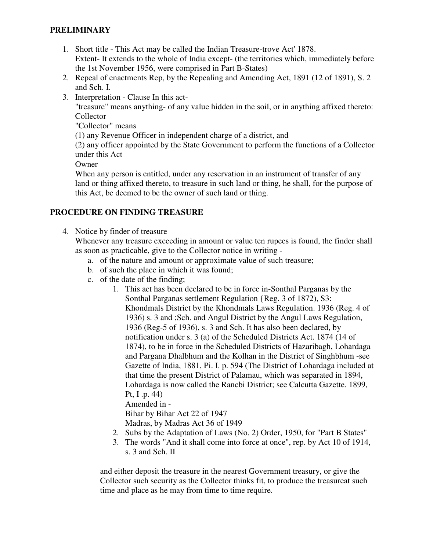# **PRELIMINARY**

- 1. Short title This Act may be called the Indian Treasure-trove Act' 1878. Extent- It extends to the whole of India except- (the territories which, immediately before the 1st November 1956, were comprised in Part B-States)
- 2. Repeal of enactments Rep, by the Repealing and Amending Act, 1891 (12 of 1891), S. 2 and Sch. I.
- 3. Interpretation Clause In this act-

"treasure" means anything- of any value hidden in the soil, or in anything affixed thereto: Collector

"Collector" means

(1) any Revenue Officer in independent charge of a district, and

(2) any officer appointed by the State Government to perform the functions of a Collector under this Act

**Owner** 

When any person is entitled, under any reservation in an instrument of transfer of any land or thing affixed thereto, to treasure in such land or thing, he shall, for the purpose of this Act, be deemed to be the owner of such land or thing.

# **PROCEDURE ON FINDING TREASURE**

4. Notice by finder of treasure

Whenever any treasure exceeding in amount or value ten rupees is found, the finder shall as soon as practicable, give to the Collector notice in writing -

- a. of the nature and amount or approximate value of such treasure;
- b. of such the place in which it was found;
- c. of the date of the finding;
	- 1. This act has been declared to be in force in-Sonthal Parganas by the Sonthal Parganas settlement Regulation {Reg. 3 of 1872), S3: Khondmals District by the Khondmals Laws Regulation. 1936 (Reg. 4 of 1936) s. 3 and ;Sch. and Angul District by the Angul Laws Regulation, 1936 (Reg-5 of 1936), s. 3 and Sch. It has also been declared, by notification under s. 3 (a) of the Scheduled Districts Act. 1874 (14 of 1874), to be in force in the Scheduled Districts of Hazaribagh, Lohardaga and Pargana Dhalbhum and the Kolhan in the District of Singhbhum -see Gazette of India, 1881, Pi. I. p. 594 (The District of Lohardaga included at that time the present District of Palamau, which was separated in 1894, Lohardaga is now called the Rancbi District; see Calcutta Gazette. 1899, Pt, I .p. 44) Amended in -

Bihar by Bihar Act 22 of 1947

Madras, by Madras Act 36 of 1949

- 2. Subs by the Adaptation of Laws (No. 2) Order, 1950, for "Part B States"
- 3. The words "And it shall come into force at once", rep. by Act 10 of 1914, s. 3 and Sch. II

and either deposit the treasure in the nearest Government treasury, or give the Collector such security as the Collector thinks fit, to produce the treasureat such time and place as he may from time to time require.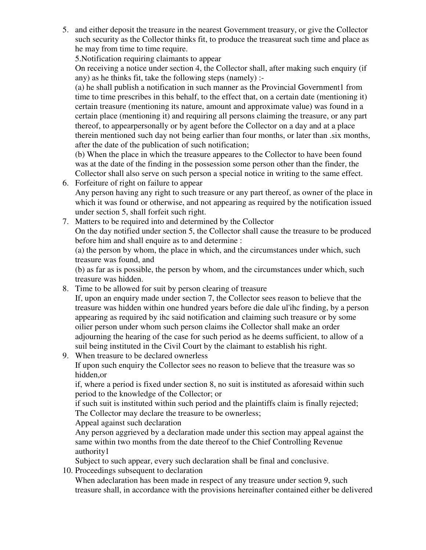5. and either deposit the treasure in the nearest Government treasury, or give the Collector such security as the Collector thinks fit, to produce the treasureat such time and place as he may from time to time require.

5.Notification requiring claimants to appear

On receiving a notice under section 4, the Collector shall, after making such enquiry (if any) as he thinks fit, take the following steps (namely) :-

(a) he shall publish a notification in such manner as the Provincial Government1 from time to time prescribes in this behalf, to the effect that, on a certain date (mentioning it) certain treasure (mentioning its nature, amount and approximate value) was found in a certain place (mentioning it) and requiring all persons claiming the treasure, or any part thereof, to appearpersonally or by agent before the Collector on a day and at a place therein mentioned such day not being earlier than four months, or later than .six months, after the date of the publication of such notification;

(b) When the place in which the treasure appeares to the Collector to have been found was at the date of the finding in the possession some person other than the finder, the Collector shall also serve on such person a special notice in writing to the same effect.

- 6. Forfeiture of right on failure to appear Any person having any right to such treasure or any part thereof, as owner of the place in which it was found or otherwise, and not appearing as required by the notification issued under section 5, shall forfeit such right.
- 7. Matters to be required into and determined by the Collector On the day notified under section 5, the Collector shall cause the treasure to be produced before him and shall enquire as to and determine :

(a) the person by whom, the place in which, and the circumstances under which, such treasure was found, and

(b) as far as is possible, the person by whom, and the circumstances under which, such treasure was hidden.

8. Time to be allowed for suit by person clearing of treasure

If, upon an enquiry made under section 7, the Collector sees reason to believe that the treasure was hidden within one hundred years before die dale ul'ihc finding, by a person appearing as required by ihc said notification and claiming such treasure or by some oilier person under whom such person claims ihe Collector shall make an order adjourning the hearing of the case for such period as he deems sufficient, to allow of a suil being instituted in the Civil Court by the claimant to establish his right.

9. When treasure to be declared ownerless

If upon such enquiry the Collector sees no reason to believe that the treasure was so hidden,or

if, where a period is fixed under section 8, no suit is instituted as aforesaid within such period to the knowledge of the Collector; or

if such suit is instituted within such period and the plaintiffs claim is finally rejected; The Collector may declare the treasure to be ownerless;

Appeal against such declaration

Any person aggrieved by a declaration made under this section may appeal against the same within two months from the date thereof to the Chief Controlling Revenue authority1

Subject to such appear, every such declaration shall be final and conclusive.

10. Proceedings subsequent to declaration

When adeclaration has been made in respect of any treasure under section 9, such treasure shall, in accordance with the provisions hereinafter contained either be delivered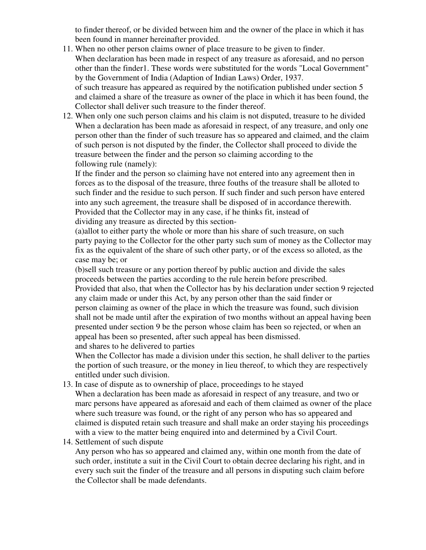to finder thereof, or be divided between him and the owner of the place in which it has been found in manner hereinafter provided.

- 11. When no other person claims owner of place treasure to be given to finder. When declaration has been made in respect of any treasure as aforesaid, and no person other than the finder1. These words were substituted for the words "Local Government" by the Government of India (Adaption of Indian Laws) Order, 1937. of such treasure has appeared as required by the notification published under section 5 and claimed a share of the treasure as owner of the place in which it has been found, the Collector shall deliver such treasure to the finder thereof.
- 12. When only one such person claims and his claim is not disputed, treasure to he divided When a declaration has been made as aforesaid in respect, of any treasure, and only one person other than the finder of such treasure has so appeared and claimed, and the claim of such person is not disputed by the finder, the Collector shall proceed to divide the treasure between the finder and the person so claiming according to the following rule (namely):

If the finder and the person so claiming have not entered into any agreement then in forces as to the disposal of the treasure, three fouths of the treasure shall be alloted to such finder and the residue to such person. If such finder and such person have entered into any such agreement, the treasure shall be disposed of in accordance therewith. Provided that the Collector may in any case, if he thinks fit, instead of dividing any treasure as directed by this section-

(a)allot to either party the whole or more than his share of such treasure, on such party paying to the Collector for the other party such sum of money as the Collector may fix as the equivalent of the share of such other party, or of the excess so alloted, as the case may be; or

(b)sell such treasure or any portion thereof by public auction and divide the sales proceeds between the parties according to the rule herein before prescribed. Provided that also, that when the Collector has by his declaration under section 9 rejected any claim made or under this Act, by any person other than the said finder or person claiming as owner of the place in which the treasure was found, such division shall not be made until after the expiration of two months without an appeal having been presented under section 9 be the person whose claim has been so rejected, or when an appeal has been so presented, after such appeal has been dismissed. and shares to he delivered to parties

When the Collector has made a division under this section, he shall deliver to the parties the portion of such treasure, or the money in lieu thereof, to which they are respectively entitled under such division.

13. In case of dispute as to ownership of place, proceedings to he stayed

When a declaration has been made as aforesaid in respect of any treasure, and two or marc persons have appeared as aforesaid and each of them claimed as owner of the place where such treasure was found, or the right of any person who has so appeared and claimed is disputed retain such treasure and shall make an order staying his proceedings with a view to the matter being enquired into and determined by a Civil Court.

14. Settlement of such dispute

Any person who has so appeared and claimed any, within one month from the date of such order, institute a suit in the Civil Court to obtain decree declaring his right, and in every such suit the finder of the treasure and all persons in disputing such claim before the Collector shall be made defendants.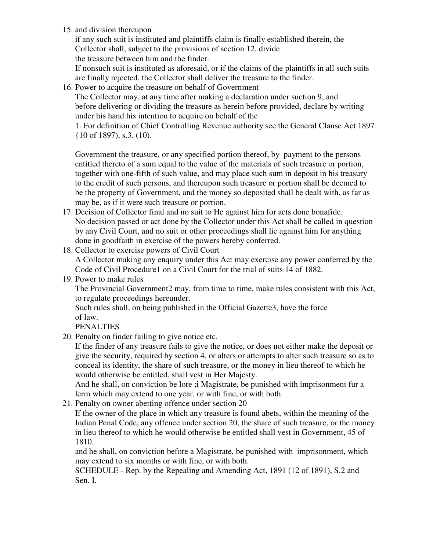15. and division thereupon

if any such suit is instituted and plaintiffs claim is finally established therein, the Collector shall, subject to the provisions of section 12, divide the treasure between him and the finder.

If nonsuch suit is instituted as aforesaid, or if the claims of the plaintiffs in all such suits are finally rejected, the Collector shall deliver the treasure to the finder.

16. Power to acquire the treasure on behalf of Government

The Collector may, at any time after making a declaration under suction 9, and before delivering or dividing the treasure as herein before provided, declare by writing under his hand his intention to acquire on behalf of the

1. For definition of Chief Controlling Revenue authority see the General Clause Act 1897 {10 of 1897), s.3. (10).

Government the treasure, or any specified portion thereof, by payment to the persons entitled thereto of a sum equal to the value of the materials of such treasure or portion, together with one-fifth of such value, and may place such sum in deposit in his treasury to the credit of such persons, and thereupon such treasure or portion shall be deemed to be the property of Government, and the money so deposited shall be dealt with, as far as may be, as if it were such treasure or portion.

- 17. Decision of Collector final and no suit to He against him for acts done bonafide. No decision passed or act done by the Collector under this Act shall be called in question by any Civil Court, and no suit or other proceedings shall lie against him for anything done in goodfaith in exercise of the powers hereby conferred.
- 18. Collector to exercise powers of Civil Court A Collector making any enquiry under this Act may exercise any power conferred by the Code of Civil Procedure1 on a Civil Court for the trial of suits 14 of 1882.
- 19. Power to make rules

The Provincial Government2 may, from time to time, make rules consistent with this Act, to regulate proceedings hereunder.

Such rules shall, on being published in the Official Gazette3, have the force of law.

PENALTIES

20. Penalty on finder failing to give notice etc.

If the finder of any treasure fails to give the notice, or does not either make the deposit or give the security, required by section 4, or alters or attempts to alter such treasure so as to conceal its identity, the share of such treasure, or the money in lieu thereof to which he would otherwise be entitled, shall vest in Her Majesty.

And he shall, on conviction be lore ;i Magistrate, be punished with imprisonment fur a lerm which may extend to one year, or with fine, or with both.

21. Penalty on owner abetting offence under section 20

If the owner of the place in which any treasure is found abets, within the meaning of the Indian Penal Code, any offence under section 20, the share of such treasure, or the money in lieu thereof to which he would otherwise be entitled shall vest in Government, 45 of 1810.

and he shall, on conviction before a Magistrate, be punished with imprisonment, which may extend to six months or with fine, or with both.

SCHEDULE - Rep. by the Repealing and Amending Act, 1891 (12 of 1891), S.2 and Sen. I.